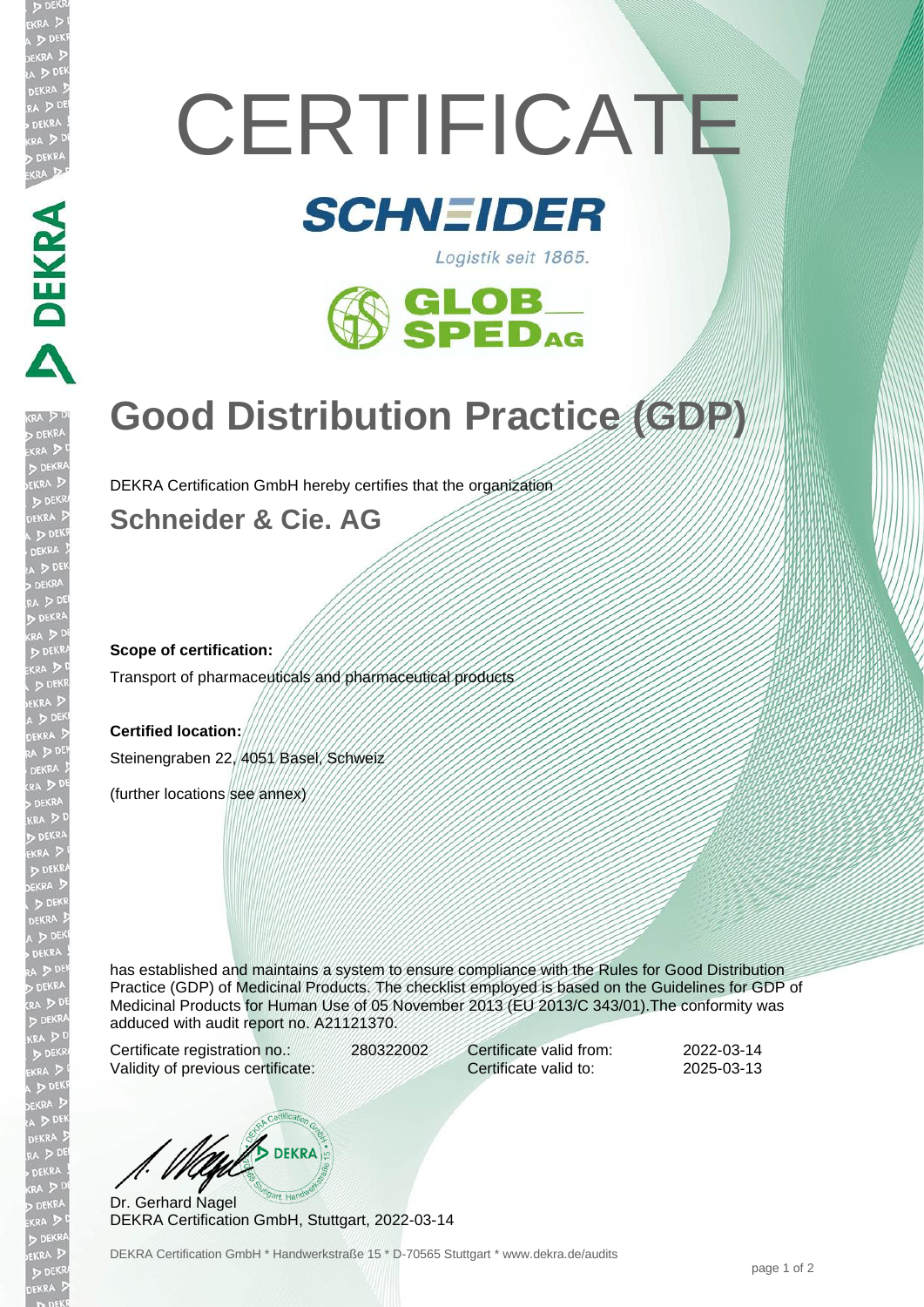# **CERTIFICATE**

## **SCHNEIDER**





## **Good Distribution Practice (GDP)**

DEKRA Certification GmbH hereby certifies that the organization

**Schneider & Cie. AG**

#### **Scope of certification:**

**DEKRA** 

Transport of pharmaceuticals and pharmaceutical products

#### **Certified location:**

Steinengraben 22, 4051 Basel, Schweiz

(further locations see annex)

has established and maintains a system to ensure compliance with the Rules for Good Distribution Practice (GDP) of Medicinal Products. The checklist employed is based on the Guidelines for GDP of Medicinal Products for Human Use of 05 November 2013 (EU 2013/C 343/01).The conformity was adduced with audit report no. A21121370.

Certificate registration no.: 280322002 Validity of previous certificate:

Certificate valid from: 2022-03-14 Certificate valid to: 2025-03-13

WA DEKRA

Dr. Gerhard Nagel DEKRA Certification GmbH, Stuttgart, 2022-03-14